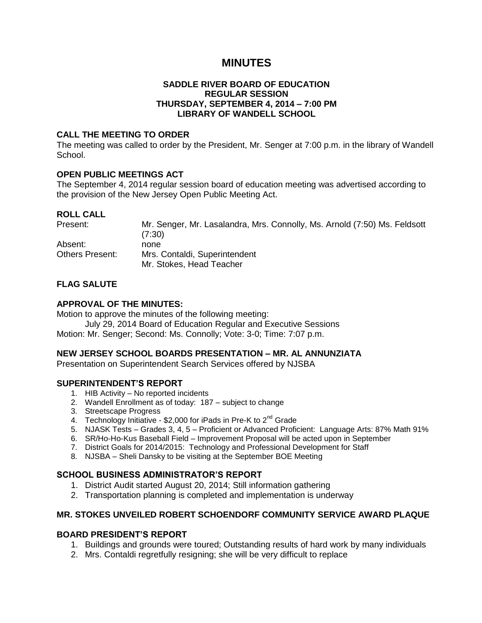# **MINUTES**

### **SADDLE RIVER BOARD OF EDUCATION REGULAR SESSION THURSDAY, SEPTEMBER 4, 2014 – 7:00 PM LIBRARY OF WANDELL SCHOOL**

### **CALL THE MEETING TO ORDER**

The meeting was called to order by the President, Mr. Senger at 7:00 p.m. in the library of Wandell School.

## **OPEN PUBLIC MEETINGS ACT**

The September 4, 2014 regular session board of education meeting was advertised according to the provision of the New Jersey Open Public Meeting Act.

#### **ROLL CALL**

| Present:               | Mr. Senger, Mr. Lasalandra, Mrs. Connolly, Ms. Arnold (7:50) Ms. Feldsott<br>(7:30) |
|------------------------|-------------------------------------------------------------------------------------|
| Absent:                | none                                                                                |
| <b>Others Present:</b> | Mrs. Contaldi, Superintendent                                                       |
|                        | Mr. Stokes, Head Teacher                                                            |

## **FLAG SALUTE**

### **APPROVAL OF THE MINUTES:**

Motion to approve the minutes of the following meeting:

July 29, 2014 Board of Education Regular and Executive Sessions

Motion: Mr. Senger; Second: Ms. Connolly; Vote: 3-0; Time: 7:07 p.m.

#### **NEW JERSEY SCHOOL BOARDS PRESENTATION – MR. AL ANNUNZIATA**

Presentation on Superintendent Search Services offered by NJSBA

## **SUPERINTENDENT'S REPORT**

- 1. HIB Activity No reported incidents
- 2. Wandell Enrollment as of today: 187 subject to change
- 3. Streetscape Progress
- 4. Technology Initiative \$2,000 for iPads in Pre-K to 2<sup>nd</sup> Grade
- 5. NJASK Tests Grades 3, 4, 5 Proficient or Advanced Proficient: Language Arts: 87% Math 91%
- 6. SR/Ho-Ho-Kus Baseball Field Improvement Proposal will be acted upon in September
- 7. District Goals for 2014/2015: Technology and Professional Development for Staff
- 8. NJSBA Sheli Dansky to be visiting at the September BOE Meeting

## **SCHOOL BUSINESS ADMINISTRATOR'S REPORT**

- 1. District Audit started August 20, 2014; Still information gathering
- 2. Transportation planning is completed and implementation is underway

## **MR. STOKES UNVEILED ROBERT SCHOENDORF COMMUNITY SERVICE AWARD PLAQUE**

#### **BOARD PRESIDENT'S REPORT**

- 1. Buildings and grounds were toured; Outstanding results of hard work by many individuals
- 2. Mrs. Contaldi regretfully resigning; she will be very difficult to replace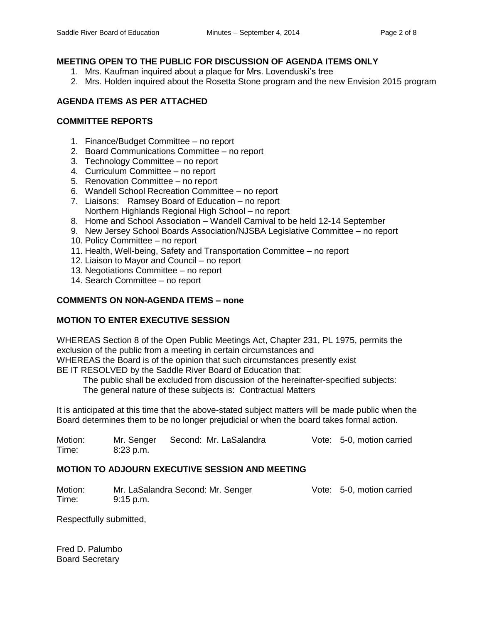## **MEETING OPEN TO THE PUBLIC FOR DISCUSSION OF AGENDA ITEMS ONLY**

- 1. Mrs. Kaufman inquired about a plaque for Mrs. Lovenduski's tree
- 2. Mrs. Holden inquired about the Rosetta Stone program and the new Envision 2015 program

## **AGENDA ITEMS AS PER ATTACHED**

### **COMMITTEE REPORTS**

- 1. Finance/Budget Committee no report
- 2. Board Communications Committee no report
- 3. Technology Committee no report
- 4. Curriculum Committee no report
- 5. Renovation Committee no report
- 6. Wandell School Recreation Committee no report
- 7. Liaisons: Ramsey Board of Education no report Northern Highlands Regional High School – no report
- 8. Home and School Association Wandell Carnival to be held 12-14 September
- 9. New Jersey School Boards Association/NJSBA Legislative Committee no report
- 10. Policy Committee no report
- 11. Health, Well-being, Safety and Transportation Committee no report
- 12. Liaison to Mayor and Council no report
- 13. Negotiations Committee no report
- 14. Search Committee no report

### **COMMENTS ON NON-AGENDA ITEMS – none**

## **MOTION TO ENTER EXECUTIVE SESSION**

WHEREAS Section 8 of the Open Public Meetings Act, Chapter 231, PL 1975, permits the exclusion of the public from a meeting in certain circumstances and WHEREAS the Board is of the opinion that such circumstances presently exist BE IT RESOLVED by the Saddle River Board of Education that:

The public shall be excluded from discussion of the hereinafter-specified subjects:

The general nature of these subjects is: Contractual Matters

It is anticipated at this time that the above-stated subject matters will be made public when the Board determines them to be no longer prejudicial or when the board takes formal action.

Motion: Mr. Senger Second: Mr. LaSalandra Vote: 5-0, motion carried Time: 8:23 p.m.

## **MOTION TO ADJOURN EXECUTIVE SESSION AND MEETING**

Motion: Mr. LaSalandra Second: Mr. Senger Vote: 5-0, motion carried Time: 9:15 p.m.

Respectfully submitted,

Fred D. Palumbo Board Secretary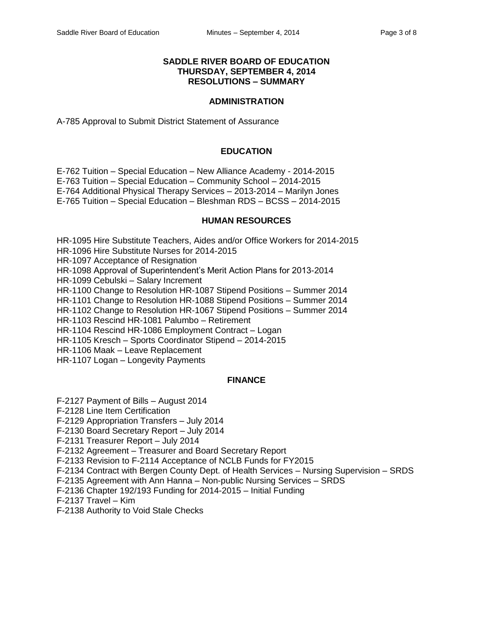#### **SADDLE RIVER BOARD OF EDUCATION THURSDAY, SEPTEMBER 4, 2014 RESOLUTIONS – SUMMARY**

#### **ADMINISTRATION**

A-785 Approval to Submit District Statement of Assurance

#### **EDUCATION**

E-762 Tuition – Special Education – New Alliance Academy - 2014-2015 E-763 Tuition – Special Education – Community School – 2014-2015 E-764 Additional Physical Therapy Services – 2013-2014 – Marilyn Jones E-765 Tuition – Special Education – Bleshman RDS – BCSS – 2014-2015

#### **HUMAN RESOURCES**

HR-1095 Hire Substitute Teachers, Aides and/or Office Workers for 2014-2015

HR-1096 Hire Substitute Nurses for 2014-2015

HR-1097 Acceptance of Resignation

HR-1098 Approval of Superintendent's Merit Action Plans for 2013-2014

HR-1099 Cebulski – Salary Increment

HR-1100 Change to Resolution HR-1087 Stipend Positions – Summer 2014

HR-1101 Change to Resolution HR-1088 Stipend Positions – Summer 2014

HR-1102 Change to Resolution HR-1067 Stipend Positions – Summer 2014

HR-1103 Rescind HR-1081 Palumbo – Retirement

HR-1104 Rescind HR-1086 Employment Contract – Logan

HR-1105 Kresch – Sports Coordinator Stipend – 2014-2015

HR-1106 Maak – Leave Replacement

HR-1107 Logan – Longevity Payments

#### **FINANCE**

F-2127 Payment of Bills – August 2014

F-2128 Line Item Certification

F-2129 Appropriation Transfers – July 2014

F-2130 Board Secretary Report – July 2014

F-2131 Treasurer Report – July 2014

F-2132 Agreement – Treasurer and Board Secretary Report

F-2133 Revision to F-2114 Acceptance of NCLB Funds for FY2015

F-2134 Contract with Bergen County Dept. of Health Services – Nursing Supervision – SRDS

F-2135 Agreement with Ann Hanna – Non-public Nursing Services – SRDS

F-2136 Chapter 192/193 Funding for 2014-2015 – Initial Funding

F-2137 Travel – Kim

F-2138 Authority to Void Stale Checks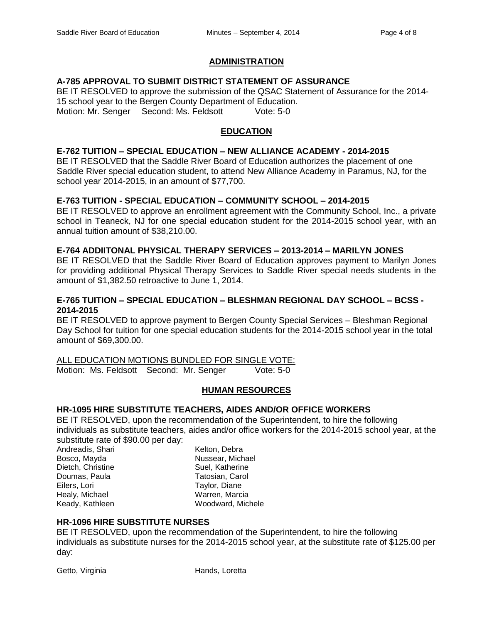#### **ADMINISTRATION**

## **A-785 APPROVAL TO SUBMIT DISTRICT STATEMENT OF ASSURANCE**

BE IT RESOLVED to approve the submission of the QSAC Statement of Assurance for the 2014- 15 school year to the Bergen County Department of Education. Motion: Mr. Senger Second: Ms. Feldsott Vote: 5-0

### **EDUCATION**

### **E-762 TUITION – SPECIAL EDUCATION – NEW ALLIANCE ACADEMY - 2014-2015**

BE IT RESOLVED that the Saddle River Board of Education authorizes the placement of one Saddle River special education student, to attend New Alliance Academy in Paramus, NJ, for the school year 2014-2015, in an amount of \$77,700.

#### **E-763 TUITION - SPECIAL EDUCATION – COMMUNITY SCHOOL – 2014-2015**

BE IT RESOLVED to approve an enrollment agreement with the Community School, Inc., a private school in Teaneck, NJ for one special education student for the 2014-2015 school year, with an annual tuition amount of \$38,210.00.

#### **E-764 ADDIITONAL PHYSICAL THERAPY SERVICES – 2013-2014 – MARILYN JONES**

BE IT RESOLVED that the Saddle River Board of Education approves payment to Marilyn Jones for providing additional Physical Therapy Services to Saddle River special needs students in the amount of \$1,382.50 retroactive to June 1, 2014.

### **E-765 TUITION – SPECIAL EDUCATION – BLESHMAN REGIONAL DAY SCHOOL – BCSS - 2014-2015**

BE IT RESOLVED to approve payment to Bergen County Special Services – Bleshman Regional Day School for tuition for one special education students for the 2014-2015 school year in the total amount of \$69,300.00.

ALL EDUCATION MOTIONS BUNDLED FOR SINGLE VOTE:

Motion: Ms. Feldsott Second: Mr. Senger Vote: 5-0

#### **HUMAN RESOURCES**

#### **HR-1095 HIRE SUBSTITUTE TEACHERS, AIDES AND/OR OFFICE WORKERS**

BE IT RESOLVED, upon the recommendation of the Superintendent, to hire the following individuals as substitute teachers, aides and/or office workers for the 2014-2015 school year, at the substitute rate of \$90.00 per day:

Andreadis, Shari Kelton, Debra Bosco, Mayda Nussear, Michael Dietch, Christine **Suel, Katherine** Suel, Katherine Doumas, Paula **Tatosian, Carol** Eilers, Lori **Taylor**, Diane Healy, Michael **Warren**, Marcia Keady, Kathleen Woodward, Michele

#### **HR-1096 HIRE SUBSTITUTE NURSES**

BE IT RESOLVED, upon the recommendation of the Superintendent, to hire the following individuals as substitute nurses for the 2014-2015 school year, at the substitute rate of \$125.00 per day:

Getto, Virginia **Hands**, Loretta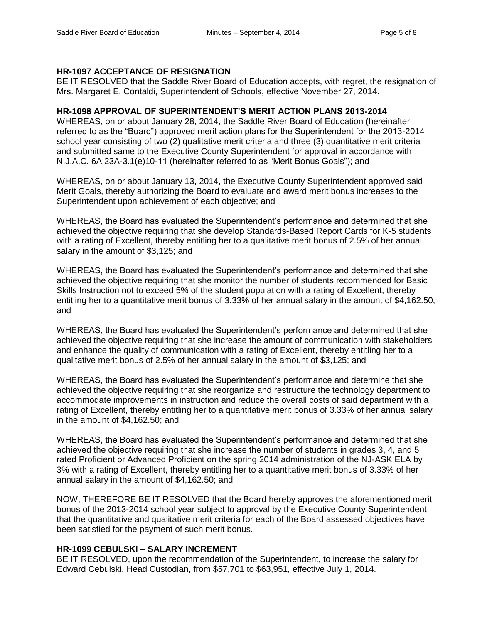#### **HR-1097 ACCEPTANCE OF RESIGNATION**

BE IT RESOLVED that the Saddle River Board of Education accepts, with regret, the resignation of Mrs. Margaret E. Contaldi, Superintendent of Schools, effective November 27, 2014.

### **HR-1098 APPROVAL OF SUPERINTENDENT'S MERIT ACTION PLANS 2013-2014**

WHEREAS, on or about January 28, 2014, the Saddle River Board of Education (hereinafter referred to as the "Board") approved merit action plans for the Superintendent for the 2013-2014 school year consisting of two (2) qualitative merit criteria and three (3) quantitative merit criteria and submitted same to the Executive County Superintendent for approval in accordance with N.J.A.C. 6A:23A-3.1(e)10-11 (hereinafter referred to as "Merit Bonus Goals"); and

WHEREAS, on or about January 13, 2014, the Executive County Superintendent approved said Merit Goals, thereby authorizing the Board to evaluate and award merit bonus increases to the Superintendent upon achievement of each objective; and

WHEREAS, the Board has evaluated the Superintendent's performance and determined that she achieved the objective requiring that she develop Standards-Based Report Cards for K-5 students with a rating of Excellent, thereby entitling her to a qualitative merit bonus of 2.5% of her annual salary in the amount of \$3,125; and

WHEREAS, the Board has evaluated the Superintendent's performance and determined that she achieved the objective requiring that she monitor the number of students recommended for Basic Skills Instruction not to exceed 5% of the student population with a rating of Excellent, thereby entitling her to a quantitative merit bonus of 3.33% of her annual salary in the amount of \$4,162.50; and

WHEREAS, the Board has evaluated the Superintendent's performance and determined that she achieved the objective requiring that she increase the amount of communication with stakeholders and enhance the quality of communication with a rating of Excellent, thereby entitling her to a qualitative merit bonus of 2.5% of her annual salary in the amount of \$3,125; and

WHEREAS, the Board has evaluated the Superintendent's performance and determine that she achieved the objective requiring that she reorganize and restructure the technology department to accommodate improvements in instruction and reduce the overall costs of said department with a rating of Excellent, thereby entitling her to a quantitative merit bonus of 3.33% of her annual salary in the amount of \$4,162.50; and

WHEREAS, the Board has evaluated the Superintendent's performance and determined that she achieved the objective requiring that she increase the number of students in grades 3, 4, and 5 rated Proficient or Advanced Proficient on the spring 2014 administration of the NJ-ASK ELA by 3% with a rating of Excellent, thereby entitling her to a quantitative merit bonus of 3.33% of her annual salary in the amount of \$4,162.50; and

NOW, THEREFORE BE IT RESOLVED that the Board hereby approves the aforementioned merit bonus of the 2013-2014 school year subject to approval by the Executive County Superintendent that the quantitative and qualitative merit criteria for each of the Board assessed objectives have been satisfied for the payment of such merit bonus.

## **HR-1099 CEBULSKI – SALARY INCREMENT**

BE IT RESOLVED, upon the recommendation of the Superintendent, to increase the salary for Edward Cebulski, Head Custodian, from \$57,701 to \$63,951, effective July 1, 2014.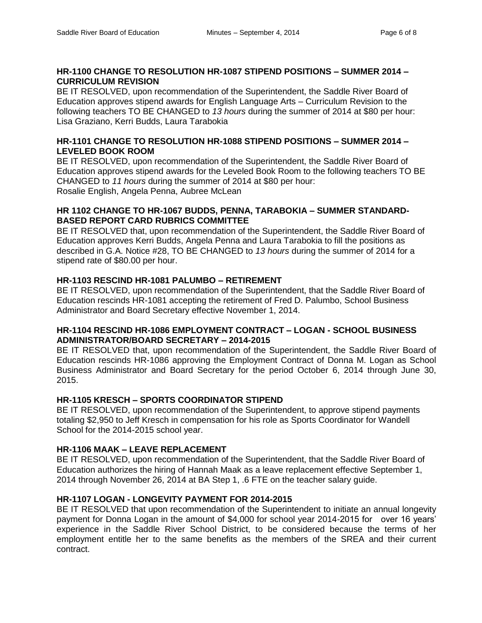## **HR-1100 CHANGE TO RESOLUTION HR-1087 STIPEND POSITIONS – SUMMER 2014 – CURRICULUM REVISION**

BE IT RESOLVED, upon recommendation of the Superintendent, the Saddle River Board of Education approves stipend awards for English Language Arts – Curriculum Revision to the following teachers TO BE CHANGED to *13 hours* during the summer of 2014 at \$80 per hour: Lisa Graziano, Kerri Budds, Laura Tarabokia

## **HR-1101 CHANGE TO RESOLUTION HR-1088 STIPEND POSITIONS – SUMMER 2014 – LEVELED BOOK ROOM**

BE IT RESOLVED, upon recommendation of the Superintendent, the Saddle River Board of Education approves stipend awards for the Leveled Book Room to the following teachers TO BE CHANGED to *11 hours* during the summer of 2014 at \$80 per hour: Rosalie English, Angela Penna, Aubree McLean

### **HR 1102 CHANGE TO HR-1067 BUDDS, PENNA, TARABOKIA – SUMMER STANDARD-BASED REPORT CARD RUBRICS COMMITTEE**

BE IT RESOLVED that, upon recommendation of the Superintendent, the Saddle River Board of Education approves Kerri Budds, Angela Penna and Laura Tarabokia to fill the positions as described in G.A. Notice #28, TO BE CHANGED to *13 hours* during the summer of 2014 for a stipend rate of \$80.00 per hour.

## **HR-1103 RESCIND HR-1081 PALUMBO – RETIREMENT**

BE IT RESOLVED, upon recommendation of the Superintendent, that the Saddle River Board of Education rescinds HR-1081 accepting the retirement of Fred D. Palumbo, School Business Administrator and Board Secretary effective November 1, 2014.

## **HR-1104 RESCIND HR-1086 EMPLOYMENT CONTRACT – LOGAN - SCHOOL BUSINESS ADMINISTRATOR/BOARD SECRETARY – 2014-2015**

BE IT RESOLVED that, upon recommendation of the Superintendent, the Saddle River Board of Education rescinds HR-1086 approving the Employment Contract of Donna M. Logan as School Business Administrator and Board Secretary for the period October 6, 2014 through June 30, 2015.

## **HR-1105 KRESCH – SPORTS COORDINATOR STIPEND**

BE IT RESOLVED, upon recommendation of the Superintendent, to approve stipend payments totaling \$2,950 to Jeff Kresch in compensation for his role as Sports Coordinator for Wandell School for the 2014-2015 school year.

## **HR-1106 MAAK – LEAVE REPLACEMENT**

BE IT RESOLVED, upon recommendation of the Superintendent, that the Saddle River Board of Education authorizes the hiring of Hannah Maak as a leave replacement effective September 1, 2014 through November 26, 2014 at BA Step 1, .6 FTE on the teacher salary guide.

## **HR-1107 LOGAN - LONGEVITY PAYMENT FOR 2014-2015**

BE IT RESOLVED that upon recommendation of the Superintendent to initiate an annual longevity payment for Donna Logan in the amount of \$4,000 for school year 2014-2015 for over 16 years' experience in the Saddle River School District, to be considered because the terms of her employment entitle her to the same benefits as the members of the SREA and their current contract.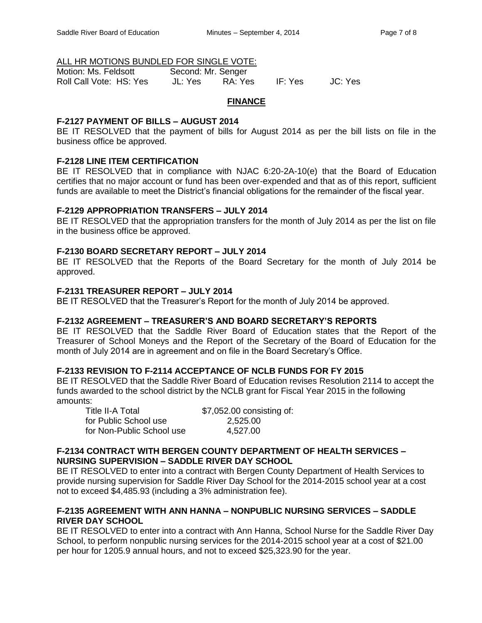## ALL HR MOTIONS BUNDLED FOR SINGLE VOTE:

| Motion: Ms. Feldsott    | Second: Mr. Senger |         |         |         |
|-------------------------|--------------------|---------|---------|---------|
| Roll Call Vote: HS: Yes | JL: Yes            | RA: Yes | IF: Yes | JC: Yes |

### **FINANCE**

## **F-2127 PAYMENT OF BILLS – AUGUST 2014**

BE IT RESOLVED that the payment of bills for August 2014 as per the bill lists on file in the business office be approved.

## **F-2128 LINE ITEM CERTIFICATION**

BE IT RESOLVED that in compliance with NJAC 6:20-2A-10(e) that the Board of Education certifies that no major account or fund has been over-expended and that as of this report, sufficient funds are available to meet the District's financial obligations for the remainder of the fiscal year.

## **F-2129 APPROPRIATION TRANSFERS – JULY 2014**

BE IT RESOLVED that the appropriation transfers for the month of July 2014 as per the list on file in the business office be approved.

### **F-2130 BOARD SECRETARY REPORT – JULY 2014**

BE IT RESOLVED that the Reports of the Board Secretary for the month of July 2014 be approved.

### **F-2131 TREASURER REPORT – JULY 2014**

BE IT RESOLVED that the Treasurer's Report for the month of July 2014 be approved.

## **F-2132 AGREEMENT – TREASURER'S AND BOARD SECRETARY'S REPORTS**

BE IT RESOLVED that the Saddle River Board of Education states that the Report of the Treasurer of School Moneys and the Report of the Secretary of the Board of Education for the month of July 2014 are in agreement and on file in the Board Secretary's Office.

#### **F-2133 REVISION TO F-2114 ACCEPTANCE OF NCLB FUNDS FOR FY 2015**

BE IT RESOLVED that the Saddle River Board of Education revises Resolution 2114 to accept the funds awarded to the school district by the NCLB grant for Fiscal Year 2015 in the following amounts:

Title II-A Total \$7,052.00 consisting of: for Public School use 2,525.00 for Non-Public School use 4,527.00

### **F-2134 CONTRACT WITH BERGEN COUNTY DEPARTMENT OF HEALTH SERVICES – NURSING SUPERVISION – SADDLE RIVER DAY SCHOOL**

BE IT RESOLVED to enter into a contract with Bergen County Department of Health Services to provide nursing supervision for Saddle River Day School for the 2014-2015 school year at a cost not to exceed \$4,485.93 (including a 3% administration fee).

## **F-2135 AGREEMENT WITH ANN HANNA – NONPUBLIC NURSING SERVICES – SADDLE RIVER DAY SCHOOL**

BE IT RESOLVED to enter into a contract with Ann Hanna, School Nurse for the Saddle River Day School, to perform nonpublic nursing services for the 2014-2015 school year at a cost of \$21.00 per hour for 1205.9 annual hours, and not to exceed \$25,323.90 for the year.